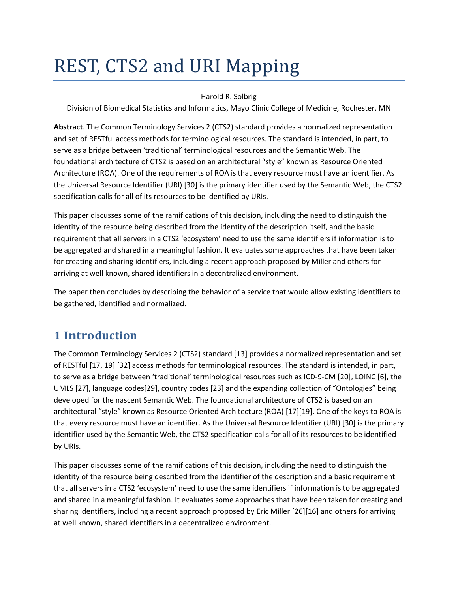# REST, CTS2 and URI Mapping

#### Harold R. Solbrig

Division of Biomedical Statistics and Informatics, Mayo Clinic College of Medicine, Rochester, MN

**Abstract**. The Common Terminology Services 2 (CTS2) standard provides a normalized representation and set of RESTful access methods for terminological resources. The standard is intended, in part, to serve as a bridge between 'traditional' terminological resources and the Semantic Web. The foundational architecture of CTS2 is based on an architectural "style" known as Resource Oriented Architecture (ROA). One of the requirements of ROA is that every resource must have an identifier. As the Universal Resource Identifier (URI) [30] is the primary identifier used by the Semantic Web, the CTS2 specification calls for all of its resources to be identified by URIs.

This paper discusses some of the ramifications of this decision, including the need to distinguish the identity of the resource being described from the identity of the description itself, and the basic requirement that all servers in a CTS2 'ecosystem' need to use the same identifiers if information is to be aggregated and shared in a meaningful fashion. It evaluates some approaches that have been taken for creating and sharing identifiers, including a recent approach proposed by Miller and others for arriving at well known, shared identifiers in a decentralized environment.

The paper then concludes by describing the behavior of a service that would allow existing identifiers to be gathered, identified and normalized.

# **1 Introduction**

The Common Terminology Services 2 (CTS2) standard [13] provides a normalized representation and set of RESTful [17, 19] [32] access methods for terminological resources. The standard is intended, in part, to serve as a bridge between 'traditional' terminological resources such as ICD-9-CM [20], LOINC [6], the UMLS [27], language codes[29], country codes [23] and the expanding collection of "Ontologies" being developed for the nascent Semantic Web. The foundational architecture of CTS2 is based on an architectural "style" known as Resource Oriented Architecture (ROA) [17][19]. One of the keys to ROA is that every resource must have an identifier. As the Universal Resource Identifier (URI) [30] is the primary identifier used by the Semantic Web, the CTS2 specification calls for all of its resources to be identified by URIs.

This paper discusses some of the ramifications of this decision, including the need to distinguish the identity of the resource being described from the identifier of the description and a basic requirement that all servers in a CTS2 'ecosystem' need to use the same identifiers if information is to be aggregated and shared in a meaningful fashion. It evaluates some approaches that have been taken for creating and sharing identifiers, including a recent approach proposed by Eric Miller [26][16] and others for arriving at well known, shared identifiers in a decentralized environment.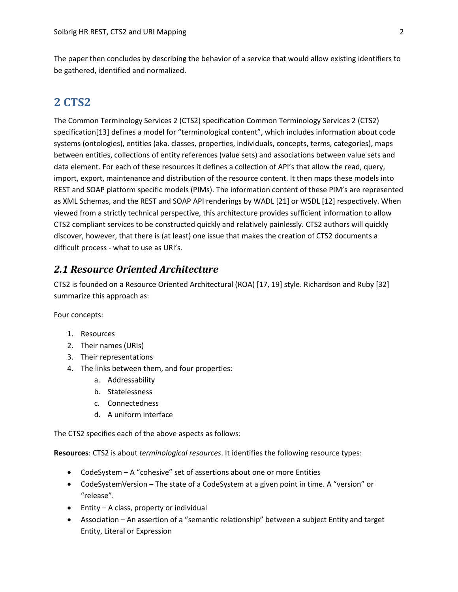The paper then concludes by describing the behavior of a service that would allow existing identifiers to be gathered, identified and normalized.

# **2 CTS2**

The Common Terminology Services 2 (CTS2) specification Common Terminology Services 2 (CTS2) specification[13] defines a model for "terminological content", which includes information about code systems (ontologies), entities (aka. classes, properties, individuals, concepts, terms, categories), maps between entities, collections of entity references (value sets) and associations between value sets and data element. For each of these resources it defines a collection of API's that allow the read, query, import, export, maintenance and distribution of the resource content. It then maps these models into REST and SOAP platform specific models (PIMs). The information content of these PIM's are represented as XML Schemas, and the REST and SOAP API renderings by WADL [21] or WSDL [12] respectively. When viewed from a strictly technical perspective, this architecture provides sufficient information to allow CTS2 compliant services to be constructed quickly and relatively painlessly. CTS2 authors will quickly discover, however, that there is (at least) one issue that makes the creation of CTS2 documents a difficult process - what to use as URI's.

## *2.1 Resource Oriented Architecture*

CTS2 is founded on a Resource Oriented Architectural (ROA) [17, 19] style. Richardson and Ruby [32] summarize this approach as:

Four concepts:

- 1. Resources
- 2. Their names (URIs)
- 3. Their representations
- 4. The links between them, and four properties:
	- a. Addressability
	- b. Statelessness
	- c. Connectedness
	- d. A uniform interface

The CTS2 specifies each of the above aspects as follows:

**Resources**: CTS2 is about *terminological resources*. It identifies the following resource types:

- CodeSystem A "cohesive" set of assertions about one or more Entities
- CodeSystemVersion The state of a CodeSystem at a given point in time. A "version" or "release".
- Entity A class, property or individual
- Association An assertion of a "semantic relationship" between a subject Entity and target Entity, Literal or Expression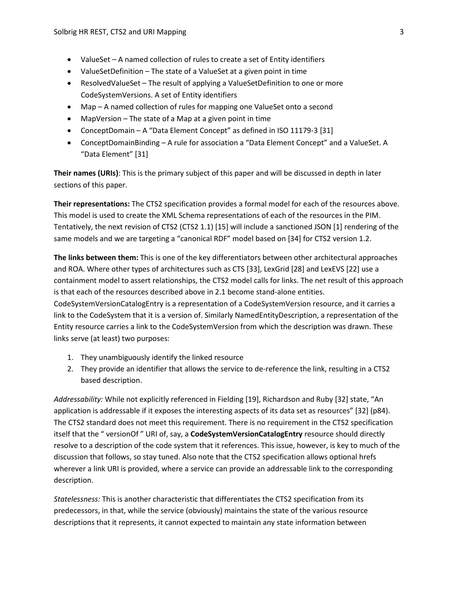- ValueSet A named collection of rules to create a set of Entity identifiers
- ValueSetDefinition The state of a ValueSet at a given point in time
- ResolvedValueSet The result of applying a ValueSetDefinition to one or more CodeSystemVersions. A set of Entity identifiers
- Map A named collection of rules for mapping one ValueSet onto a second
- MapVersion The state of a Map at a given point in time
- ConceptDomain A "Data Element Concept" as defined in ISO 11179-3 [31]
- ConceptDomainBinding A rule for association a "Data Element Concept" and a ValueSet. A "Data Element" [31]

**Their names (URIs)**: This is the primary subject of this paper and will be discussed in depth in later sections of this paper.

**Their representations:** The CTS2 specification provides a formal model for each of the resources above. This model is used to create the XML Schema representations of each of the resources in the PIM. Tentatively, the next revision of CTS2 (CTS2 1.1) [15] will include a sanctioned JSON [1] rendering of the same models and we are targeting a "canonical RDF" model based on [34] for CTS2 version 1.2.

**The links between them:** This is one of the key differentiators between other architectural approaches and ROA. Where other types of architectures such as CTS [33], LexGrid [28] and LexEVS [22] use a containment model to assert relationships, the CTS2 model calls for links. The net result of this approach is that each of the resources described above in 2.1 become stand-alone entities.

CodeSystemVersionCatalogEntry is a representation of a CodeSystemVersion resource, and it carries a link to the CodeSystem that it is a version of. Similarly NamedEntityDescription, a representation of the Entity resource carries a link to the CodeSystemVersion from which the description was drawn. These links serve (at least) two purposes:

- 1. They unambiguously identify the linked resource
- 2. They provide an identifier that allows the service to de-reference the link, resulting in a CTS2 based description.

*Addressability:* While not explicitly referenced in Fielding [19], Richardson and Ruby [32] state, "An application is addressable if it exposes the interesting aspects of its data set as resources" [32] (p84). The CTS2 standard does not meet this requirement. There is no requirement in the CTS2 specification itself that the " versionOf " URI of, say, a **CodeSystemVersionCatalogEntry** resource should directly resolve to a description of the code system that it references. This issue, however, is key to much of the discussion that follows, so stay tuned. Also note that the CTS2 specification allows optional hrefs wherever a link URI is provided, where a service can provide an addressable link to the corresponding description.

*Statelessness:* This is another characteristic that differentiates the CTS2 specification from its predecessors, in that, while the service (obviously) maintains the state of the various resource descriptions that it represents, it cannot expected to maintain any state information between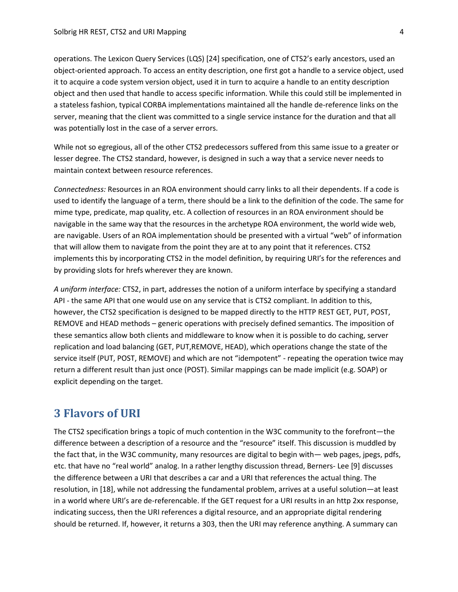operations. The Lexicon Query Services (LQS) [24] specification, one of CTS2's early ancestors, used an object-oriented approach. To access an entity description, one first got a handle to a service object, used it to acquire a code system version object, used it in turn to acquire a handle to an entity description object and then used that handle to access specific information. While this could still be implemented in a stateless fashion, typical CORBA implementations maintained all the handle de-reference links on the server, meaning that the client was committed to a single service instance for the duration and that all was potentially lost in the case of a server errors.

While not so egregious, all of the other CTS2 predecessors suffered from this same issue to a greater or lesser degree. The CTS2 standard, however, is designed in such a way that a service never needs to maintain context between resource references.

*Connectedness:* Resources in an ROA environment should carry links to all their dependents. If a code is used to identify the language of a term, there should be a link to the definition of the code. The same for mime type, predicate, map quality, etc. A collection of resources in an ROA environment should be navigable in the same way that the resources in the archetype ROA environment, the world wide web, are navigable. Users of an ROA implementation should be presented with a virtual "web" of information that will allow them to navigate from the point they are at to any point that it references. CTS2 implements this by incorporating CTS2 in the model definition, by requiring URI's for the references and by providing slots for hrefs wherever they are known.

*A uniform interface:* CTS2, in part, addresses the notion of a uniform interface by specifying a standard API - the same API that one would use on any service that is CTS2 compliant. In addition to this, however, the CTS2 specification is designed to be mapped directly to the HTTP REST GET, PUT, POST, REMOVE and HEAD methods – generic operations with precisely defined semantics. The imposition of these semantics allow both clients and middleware to know when it is possible to do caching, server replication and load balancing (GET, PUT,REMOVE, HEAD), which operations change the state of the service itself (PUT, POST, REMOVE) and which are not "idempotent" - repeating the operation twice may return a different result than just once (POST). Similar mappings can be made implicit (e.g. SOAP) or explicit depending on the target.

## **3 Flavors of URI**

The CTS2 specification brings a topic of much contention in the W3C community to the forefront—the difference between a description of a resource and the "resource" itself. This discussion is muddled by the fact that, in the W3C community, many resources are digital to begin with— web pages, jpegs, pdfs, etc. that have no "real world" analog. In a rather lengthy discussion thread, Berners- Lee [9] discusses the difference between a URI that describes a car and a URI that references the actual thing. The resolution, in [18], while not addressing the fundamental problem, arrives at a useful solution—at least in a world where URI's are de-referencable. If the GET request for a URI results in an http 2xx response, indicating success, then the URI references a digital resource, and an appropriate digital rendering should be returned. If, however, it returns a 303, then the URI may reference anything. A summary can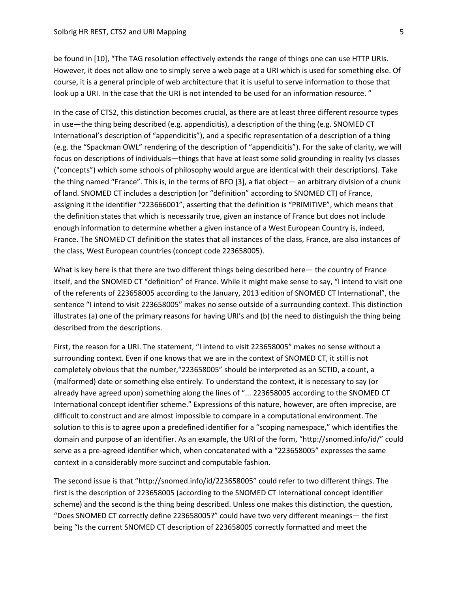be found in [10], "The TAG resolution effectively extends the range of things one can use HTTP URIs. However, it does not allow one to simply serve a web page at a URI which is used for something else. Of course, it is a general principle of web architecture that it is useful to serve information to those that look up a URI. In the case that the URI is not intended to be used for an information resource."

In the case of CTS2, this distinction becomes crucial, as there are at least three different resource types in use—the thing being described (e.g. appendicitis), a description of the thing (e.g. SNOMED CT International's description of "appendicitis"), and a specific representation of a description of a thing (e.g. the "Spackman OWL" rendering of the description of "appendicitis"). For the sake of clarity, we will focus on descriptions of individuals—things that have at least some solid grounding in reality (vs classes ("concepts") which some schools of philosophy would argue are identical with their descriptions). Take the thing named "France". This is, in the terms of BFO [3], a fiat object— an arbitrary division of a chunk of land. SNOMED CT includes a description (or "definition" according to SNOMED CT) of France, assigning it the identifier "223666001", asserting that the definition is "PRIMITIVE", which means that the definition states that which is necessarily true, given an instance of France but does not include enough information to determine whether a given instance of a West European Country is, indeed, France. The SNOMED CT definition the states that all instances of the class, France, are also instances of the class, West European countries (concept code 223658005).

What is key here is that there are two different things being described here— the country of France itself, and the SNOMED CT "definition" of France. While it might make sense to say, "I intend to visit one of the referents of 223658005 according to the January, 2013 edition of SNOMED CT International", the sentence "I intend to visit 223658005" makes no sense outside of a surrounding context. This distinction illustrates (a) one of the primary reasons for having URI's and (b) the need to distinguish the thing being described from the descriptions.

First, the reason for a URI. The statement, "I intend to visit 223658005" makes no sense without a surrounding context. Even if one knows that we are in the context of SNOMED CT, it still is not completely obvious that the number,"223658005" should be interpreted as an SCTID, a count, a (malformed) date or something else entirely. To understand the context, it is necessary to say (or already have agreed upon) something along the lines of "... 223658005 according to the SNOMED CT International concept identifier scheme." Expressions of this nature, however, are often imprecise, are difficult to construct and are almost impossible to compare in a computational environment. The solution to this is to agree upon a predefined identifier for a "scoping namespace," which identifies the domain and purpose of an identifier. As an example, the URI of the form, "http://snomed.info/id/" could serve as a pre-agreed identifier which, when concatenated with a "223658005" expresses the same context in a considerably more succinct and computable fashion.

The second issue is that "http://snomed.info/id/223658005" could refer to two different things. The first is the description of 223658005 (according to the SNOMED CT International concept identifier scheme) and the second is the thing being described. Unless one makes this distinction, the question, "Does SNOMED CT correctly define 223658005?" could have two very different meanings— the first being "Is the current SNOMED CT description of 223658005 correctly formatted and meet the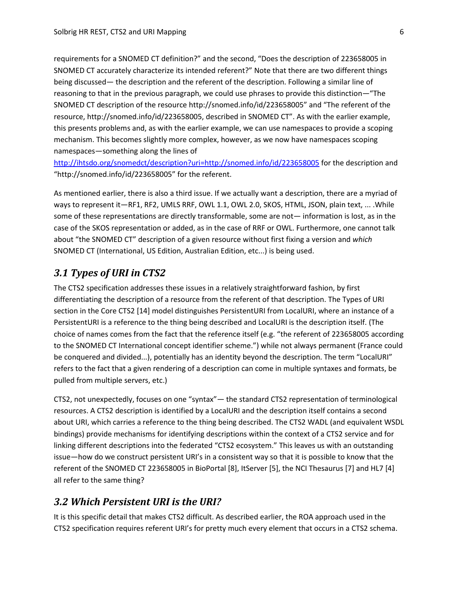requirements for a SNOMED CT definition?" and the second, "Does the description of 223658005 in SNOMED CT accurately characterize its intended referent?" Note that there are two different things being discussed— the description and the referent of the description. Following a similar line of reasoning to that in the previous paragraph, we could use phrases to provide this distinction—"The SNOMED CT description of the resource http://snomed.info/id/223658005" and "The referent of the resource, http://snomed.info/id/223658005, described in SNOMED CT". As with the earlier example, this presents problems and, as with the earlier example, we can use namespaces to provide a scoping mechanism. This becomes slightly more complex, however, as we now have namespaces scoping namespaces—something along the lines of

<http://ihtsdo.org/snomedct/description?uri=http://snomed.info/id/223658005> for the description and "http://snomed.info/id/223658005" for the referent.

As mentioned earlier, there is also a third issue. If we actually want a description, there are a myriad of ways to represent it—RF1, RF2, UMLS RRF, OWL 1.1, OWL 2.0, SKOS, HTML, JSON, plain text, ... .While some of these representations are directly transformable, some are not— information is lost, as in the case of the SKOS representation or added, as in the case of RRF or OWL. Furthermore, one cannot talk about "the SNOMED CT" description of a given resource without first fixing a version and *which* SNOMED CT (International, US Edition, Australian Edition, etc...) is being used.

## *3.1 Types of URI in CTS2*

The CTS2 specification addresses these issues in a relatively straightforward fashion, by first differentiating the description of a resource from the referent of that description. The Types of URI section in the Core CTS2 [14] model distinguishes PersistentURI from LocalURI, where an instance of a PersistentURI is a reference to the thing being described and LocalURI is the description itself. (The choice of names comes from the fact that the reference itself (e.g. "the referent of 223658005 according to the SNOMED CT International concept identifier scheme.") while not always permanent (France could be conquered and divided...), potentially has an identity beyond the description. The term "LocalURI" refers to the fact that a given rendering of a description can come in multiple syntaxes and formats, be pulled from multiple servers, etc.)

CTS2, not unexpectedly, focuses on one "syntax"— the standard CTS2 representation of terminological resources. A CTS2 description is identified by a LocalURI and the description itself contains a second about URI, which carries a reference to the thing being described. The CTS2 WADL (and equivalent WSDL bindings) provide mechanisms for identifying descriptions within the context of a CTS2 service and for linking different descriptions into the federated "CTS2 ecosystem." This leaves us with an outstanding issue—how do we construct persistent URI's in a consistent way so that it is possible to know that the referent of the SNOMED CT 223658005 in BioPortal [8], ItServer [5], the NCI Thesaurus [7] and HL7 [4] all refer to the same thing?

#### *3.2 Which Persistent URI is the URI?*

It is this specific detail that makes CTS2 difficult. As described earlier, the ROA approach used in the CTS2 specification requires referent URI's for pretty much every element that occurs in a CTS2 schema.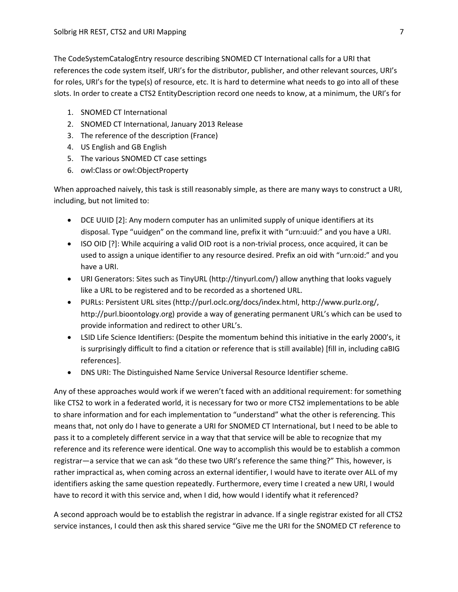The CodeSystemCatalogEntry resource describing SNOMED CT International calls for a URI that references the code system itself, URI's for the distributor, publisher, and other relevant sources, URI's for roles, URI's for the type(s) of resource, etc. It is hard to determine what needs to go into all of these slots. In order to create a CTS2 EntityDescription record one needs to know, at a minimum, the URI's for

- 1. SNOMED CT International
- 2. SNOMED CT International, January 2013 Release
- 3. The reference of the description (France)
- 4. US English and GB English
- 5. The various SNOMED CT case settings
- 6. owl:Class or owl:ObjectProperty

When approached naively, this task is still reasonably simple, as there are many ways to construct a URI, including, but not limited to:

- DCE UUID [2]: Any modern computer has an unlimited supply of unique identifiers at its disposal. Type "uuidgen" on the command line, prefix it with "urn:uuid:" and you have a URI.
- ISO OID [?]: While acquiring a valid OID root is a non-trivial process, once acquired, it can be used to assign a unique identifier to any resource desired. Prefix an oid with "urn:oid:" and you have a URI.
- URI Generators: Sites such as TinyURL (http://tinyurl.com/) allow anything that looks vaguely like a URL to be registered and to be recorded as a shortened URL.
- PURLs: Persistent URL sites (http://purl.oclc.org/docs/index.html, http://www.purlz.org/, http://purl.bioontology.org) provide a way of generating permanent URL's which can be used to provide information and redirect to other URL's.
- LSID Life Science Identifiers: (Despite the momentum behind this initiative in the early 2000's, it is surprisingly difficult to find a citation or reference that is still available) [fill in, including caBIG references].
- DNS URI: The Distinguished Name Service Universal Resource Identifier scheme.

Any of these approaches would work if we weren't faced with an additional requirement: for something like CTS2 to work in a federated world, it is necessary for two or more CTS2 implementations to be able to share information and for each implementation to "understand" what the other is referencing. This means that, not only do I have to generate a URI for SNOMED CT International, but I need to be able to pass it to a completely different service in a way that that service will be able to recognize that my reference and its reference were identical. One way to accomplish this would be to establish a common registrar—a service that we can ask "do these two URI's reference the same thing?" This, however, is rather impractical as, when coming across an external identifier, I would have to iterate over ALL of my identifiers asking the same question repeatedly. Furthermore, every time I created a new URI, I would have to record it with this service and, when I did, how would I identify what it referenced?

A second approach would be to establish the registrar in advance. If a single registrar existed for all CTS2 service instances, I could then ask this shared service "Give me the URI for the SNOMED CT reference to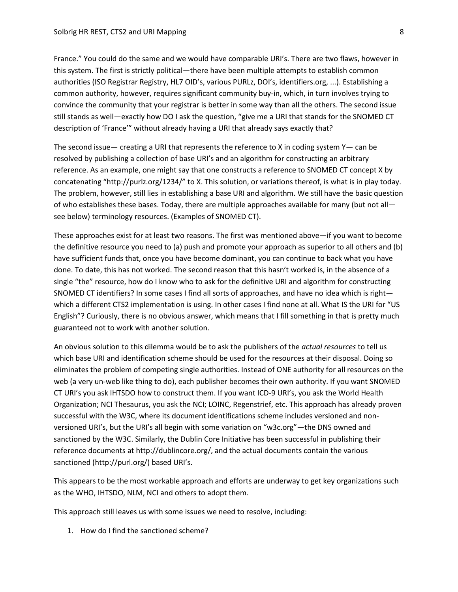France." You could do the same and we would have comparable URI's. There are two flaws, however in this system. The first is strictly political—there have been multiple attempts to establish common authorities (ISO Registrar Registry, HL7 OID's, various PURLz, DOI's, identifiers.org, ...). Establishing a common authority, however, requires significant community buy-in, which, in turn involves trying to convince the community that your registrar is better in some way than all the others. The second issue still stands as well—exactly how DO I ask the question, "give me a URI that stands for the SNOMED CT description of 'France'" without already having a URI that already says exactly that?

The second issue— creating a URI that represents the reference to X in coding system  $Y$ — can be resolved by publishing a collection of base URI's and an algorithm for constructing an arbitrary reference. As an example, one might say that one constructs a reference to SNOMED CT concept X by concatenating "http://purlz.org/1234/" to X. This solution, or variations thereof, is what is in play today. The problem, however, still lies in establishing a base URI and algorithm. We still have the basic question of who establishes these bases. Today, there are multiple approaches available for many (but not all see below) terminology resources. (Examples of SNOMED CT).

These approaches exist for at least two reasons. The first was mentioned above—if you want to become the definitive resource you need to (a) push and promote your approach as superior to all others and (b) have sufficient funds that, once you have become dominant, you can continue to back what you have done. To date, this has not worked. The second reason that this hasn't worked is, in the absence of a single "the" resource, how do I know who to ask for the definitive URI and algorithm for constructing SNOMED CT identifiers? In some cases I find all sorts of approaches, and have no idea which is right which a different CTS2 implementation is using. In other cases I find none at all. What IS the URI for "US English"? Curiously, there is no obvious answer, which means that I fill something in that is pretty much guaranteed not to work with another solution.

An obvious solution to this dilemma would be to ask the publishers of the *actual resources* to tell us which base URI and identification scheme should be used for the resources at their disposal. Doing so eliminates the problem of competing single authorities. Instead of ONE authority for all resources on the web (a very un-web like thing to do), each publisher becomes their own authority. If you want SNOMED CT URI's you ask IHTSDO how to construct them. If you want ICD-9 URI's, you ask the World Health Organization; NCI Thesaurus, you ask the NCI; LOINC, Regenstrief, etc. This approach has already proven successful with the W3C, where its document identifications scheme includes versioned and nonversioned URI's, but the URI's all begin with some variation on "w3c.org"—the DNS owned and sanctioned by the W3C. Similarly, the Dublin Core Initiative has been successful in publishing their reference documents at http://dublincore.org/, and the actual documents contain the various sanctioned (http://purl.org/) based URI's.

This appears to be the most workable approach and efforts are underway to get key organizations such as the WHO, IHTSDO, NLM, NCI and others to adopt them.

This approach still leaves us with some issues we need to resolve, including:

1. How do I find the sanctioned scheme?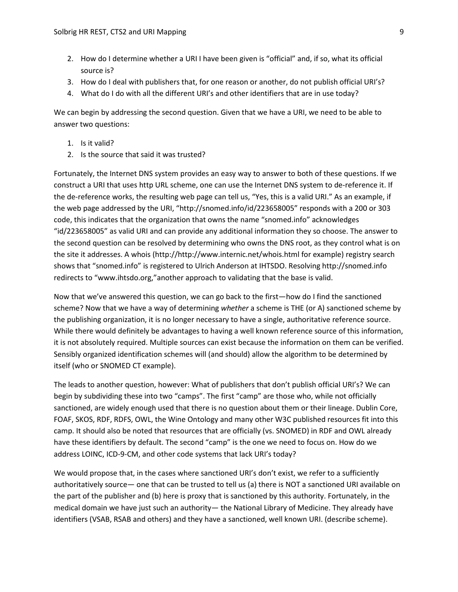- 2. How do I determine whether a URI I have been given is "official" and, if so, what its official source is?
- 3. How do I deal with publishers that, for one reason or another, do not publish official URI's?
- 4. What do I do with all the different URI's and other identifiers that are in use today?

We can begin by addressing the second question. Given that we have a URI, we need to be able to answer two questions:

- 1. Is it valid?
- 2. Is the source that said it was trusted?

Fortunately, the Internet DNS system provides an easy way to answer to both of these questions. If we construct a URI that uses http URL scheme, one can use the Internet DNS system to de-reference it. If the de-reference works, the resulting web page can tell us, "Yes, this is a valid URI." As an example, if the web page addressed by the URI, "http://snomed.info/id/223658005" responds with a 200 or 303 code, this indicates that the organization that owns the name "snomed.info" acknowledges "id/223658005" as valid URI and can provide any additional information they so choose. The answer to the second question can be resolved by determining who owns the DNS root, as they control what is on the site it addresses. A whois (http://http://www.internic.net/whois.html for example) registry search shows that "snomed.info" is registered to Ulrich Anderson at IHTSDO. Resolving http://snomed.info redirects to "www.ihtsdo.org,"another approach to validating that the base is valid.

Now that we've answered this question, we can go back to the first—how do I find the sanctioned scheme? Now that we have a way of determining *whether* a scheme is THE (or A) sanctioned scheme by the publishing organization, it is no longer necessary to have a single, authoritative reference source. While there would definitely be advantages to having a well known reference source of this information, it is not absolutely required. Multiple sources can exist because the information on them can be verified. Sensibly organized identification schemes will (and should) allow the algorithm to be determined by itself (who or SNOMED CT example).

The leads to another question, however: What of publishers that don't publish official URI's? We can begin by subdividing these into two "camps". The first "camp" are those who, while not officially sanctioned, are widely enough used that there is no question about them or their lineage. Dublin Core, FOAF, SKOS, RDF, RDFS, OWL, the Wine Ontology and many other W3C published resources fit into this camp. It should also be noted that resources that are officially (vs. SNOMED) in RDF and OWL already have these identifiers by default. The second "camp" is the one we need to focus on. How do we address LOINC, ICD-9-CM, and other code systems that lack URI's today?

We would propose that, in the cases where sanctioned URI's don't exist, we refer to a sufficiently authoritatively source— one that can be trusted to tell us (a) there is NOT a sanctioned URI available on the part of the publisher and (b) here is proxy that is sanctioned by this authority. Fortunately, in the medical domain we have just such an authority— the National Library of Medicine. They already have identifiers (VSAB, RSAB and others) and they have a sanctioned, well known URI. (describe scheme).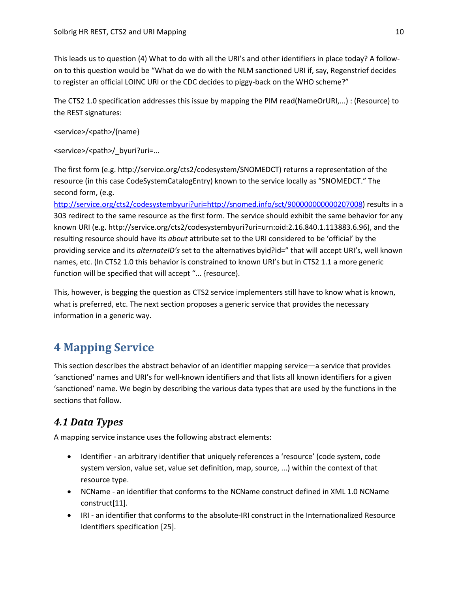This leads us to question (4) What to do with all the URI's and other identifiers in place today? A followon to this question would be "What do we do with the NLM sanctioned URI if, say, Regenstrief decides to register an official LOINC URI or the CDC decides to piggy-back on the WHO scheme?"

The CTS2 1.0 specification addresses this issue by mapping the PIM read(NameOrURI,...) : (Resource) to the REST signatures:

<service>/<path>/{name}

<service>/<path>/ byuri?uri=...

The first form (e.g. http://service.org/cts2/codesystem/SNOMEDCT) returns a representation of the resource (in this case CodeSystemCatalogEntry) known to the service locally as "SNOMEDCT." The second form, (e.g.

[http://service.org/cts2/codesystembyuri?uri=http://snomed.info/sct/900000000000207008\)](http://service.org/cts2/codesystembyuri?uri=http://snomed.info/sct/900000000000207008) results in a 303 redirect to the same resource as the first form. The service should exhibit the same behavior for any known URI (e.g. http://service.org/cts2/codesystembyuri?uri=urn:oid:2.16.840.1.113883.6.96), and the resulting resource should have its *about* attribute set to the URI considered to be 'official' by the providing service and its *alternateID's* set to the alternatives byid?id=" that will accept URI's, well known names, etc. (In CTS2 1.0 this behavior is constrained to known URI's but in CTS2 1.1 a more generic function will be specified that will accept "... {resource).

This, however, is begging the question as CTS2 service implementers still have to know what is known, what is preferred, etc. The next section proposes a generic service that provides the necessary information in a generic way.

# **4 Mapping Service**

This section describes the abstract behavior of an identifier mapping service—a service that provides 'sanctioned' names and URI's for well-known identifiers and that lists all known identifiers for a given 'sanctioned' name. We begin by describing the various data types that are used by the functions in the sections that follow.

# *4.1 Data Types*

A mapping service instance uses the following abstract elements:

- Identifier an arbitrary identifier that uniquely references a 'resource' (code system, code system version, value set, value set definition, map, source, ...) within the context of that resource type.
- NCName an identifier that conforms to the NCName construct defined in XML 1.0 NCName construct[11].
- IRI an identifier that conforms to the absolute-IRI construct in the Internationalized Resource Identifiers specification [25].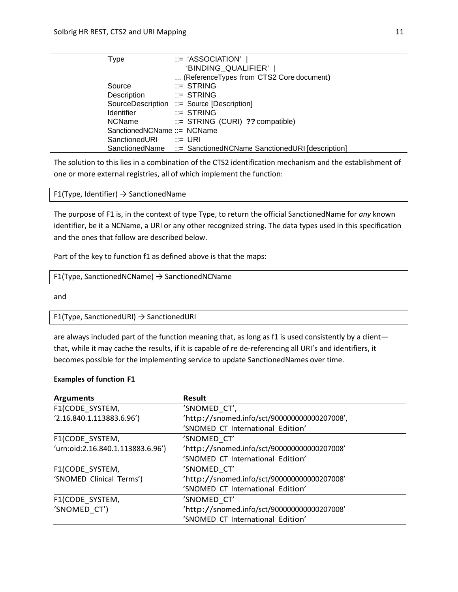| Type                        | ::= 'ASSOCIATION'                                               |
|-----------------------------|-----------------------------------------------------------------|
|                             | 'BINDING_QUALIFIER'                                             |
|                             | (ReferenceTypes from CTS2 Core document)                        |
| Source                      | $\equiv$ STRING                                                 |
| Description                 | $\mathrel{\mathop:}=$ STRING                                    |
|                             | SourceDescription ::= Source [Description]                      |
| <b>Identifier</b>           | $\equiv$ STRING                                                 |
| <b>NCName</b>               | $\equiv$ STRING (CURI) ?? compatible)                           |
| SanctionedNCName ::= NCName |                                                                 |
| SanctionedURI ::= URI       |                                                                 |
|                             | SanctionedName ::= SanctionedNCName SanctionedURI [description] |

The solution to this lies in a combination of the CTS2 identification mechanism and the establishment of one or more external registries, all of which implement the function:

F1(Type, Identifier)  $\rightarrow$  SanctionedName

The purpose of F1 is, in the context of type Type, to return the official SanctionedName for *any* known identifier, be it a NCName, a URI or any other recognized string. The data types used in this specification and the ones that follow are described below.

Part of the key to function f1 as defined above is that the maps:

```
F1(Type, SanctionedNCName) → SanctionedNCName
```
and

```
F1(Type, SanctionedURI) → SanctionedURI
```
are always included part of the function meaning that, as long as f1 is used consistently by a client that, while it may cache the results, if it is capable of re de-referencing all URI's and identifiers, it becomes possible for the implementing service to update SanctionedNames over time.

#### **Examples of function F1**

| <b>Arguments</b>                  | <b>Result</b>                                |  |
|-----------------------------------|----------------------------------------------|--|
| F1(CODE SYSTEM,                   | 'SNOMED CT',                                 |  |
| (2.16.840.1.113883.6.96')         | /http://snomed.info/sct/900000000000207008', |  |
|                                   | 'SNOMED CT International Edition'            |  |
| F1(CODE_SYSTEM,                   | 'SNOMED CT'                                  |  |
| 'urn:oid:2.16.840.1.113883.6.96') | /http://snomed.info/sct/900000000000207008'  |  |
|                                   | 'SNOMED CT International Edition'            |  |
| F1(CODE SYSTEM,                   | 'SNOMED CT'                                  |  |
| 'SNOMED Clinical Terms')          | /http://snomed.info/sct/900000000000207008'  |  |
|                                   | 'SNOMED CT International Edition'            |  |
| F1(CODE_SYSTEM,                   | 'SNOMED CT'                                  |  |
| 'SNOMED CT')                      | /http://snomed.info/sct/900000000000207008'  |  |
|                                   | 'SNOMED CT International Edition'            |  |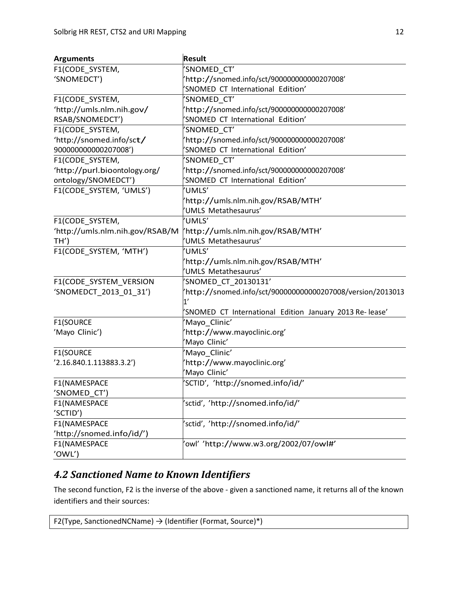| <b>Arguments</b>                | <b>Result</b>                                             |  |
|---------------------------------|-----------------------------------------------------------|--|
| F1(CODE_SYSTEM,                 | SNOMED_CT'                                                |  |
| 'SNOMEDCT')                     | http://snomed.info/sct/900000000000207008'                |  |
|                                 | SNOMED CT International Edition'                          |  |
| F1(CODE_SYSTEM,                 | SNOMED_CT'                                                |  |
| 'http://umls.nlm.nih.gov/       | http://snomed.info/sct/900000000000207008'                |  |
| RSAB/SNOMEDCT')                 | 'SNOMED CT International Edition'                         |  |
| F1(CODE_SYSTEM,                 | SNOMED CT'                                                |  |
| 'http://snomed.info/sct/        | http://snomed.info/sct/900000000000207008'                |  |
| 900000000000207008')            | 'SNOMED CT International Edition'                         |  |
| F1(CODE SYSTEM,                 | SNOMED_CT'                                                |  |
| 'http://purl.bioontology.org/   | http://snomed.info/sct/900000000000207008'                |  |
| ontology/SNOMEDCT')             | SNOMED CT International Edition'                          |  |
| F1(CODE_SYSTEM, 'UMLS')         | UMLS'                                                     |  |
|                                 | http://umls.nlm.nih.gov/RSAB/MTH'                         |  |
|                                 | UMLS Metathesaurus'                                       |  |
| F1(CODE_SYSTEM,                 | UMLS'                                                     |  |
| 'http://umls.nlm.nih.gov/RSAB/M | 'http://umls.nlm.nih.gov/RSAB/MTH'                        |  |
| TH')                            | UMLS Metathesaurus'                                       |  |
| F1(CODE_SYSTEM, 'MTH')          | UMLS'                                                     |  |
|                                 | http://umls.nlm.nih.gov/RSAB/MTH'                         |  |
|                                 | 'UMLS Metathesaurus'                                      |  |
| F1(CODE_SYSTEM_VERSION          | 'SNOMED CT 20130131'                                      |  |
| 'SNOMEDCT_2013_01_31')          | http://snomed.info/sct/900000000000207008/version/2013013 |  |
|                                 | 1'                                                        |  |
|                                 | 'SNOMED CT International Edition January 2013 Re-lease'   |  |
| F1(SOURCE                       | 'Mayo_Clinic'                                             |  |
| 'Mayo Clinic')                  | http://www.mayoclinic.org'                                |  |
|                                 | 'Mayo Clinic'                                             |  |
| <b>F1(SOURCE</b>                | 'Mayo Clinic'                                             |  |
| '2.16.840.1.113883.3.2')        | http://www.mayoclinic.org'                                |  |
|                                 | 'Mayo Clinic'                                             |  |
| F1(NAMESPACE                    | 'SCTID', 'http://snomed.info/id/'                         |  |
| 'SNOMED_CT')                    |                                                           |  |
| F1(NAMESPACE                    | 'sctid', 'http://snomed.info/id/'                         |  |
| 'SCTID')                        |                                                           |  |
| F1(NAMESPACE                    | sctid', 'http://snomed.info/id/'                          |  |
| 'http://snomed.info/id/')       |                                                           |  |
| F1(NAMESPACE                    | owl' 'http://www.w3.org/2002/07/owl#'                     |  |
| 'OWL')                          |                                                           |  |

# *4.2 Sanctioned Name to Known Identifiers*

The second function, F2 is the inverse of the above - given a sanctioned name, it returns all of the known identifiers and their sources:

F2(Type, SanctionedNCName)  $\rightarrow$  (Identifier (Format, Source)\*)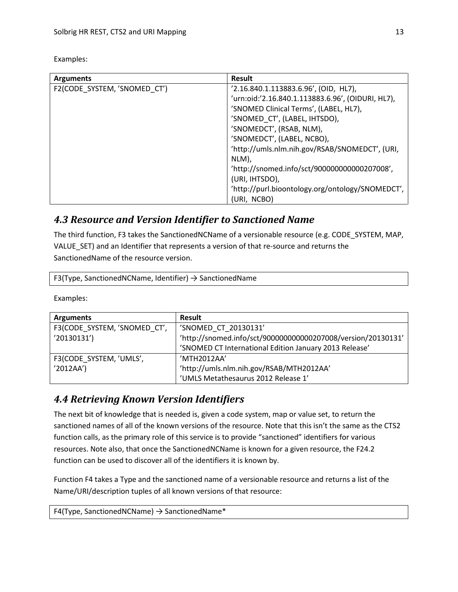| <b>Arguments</b>             | <b>Result</b>                                     |
|------------------------------|---------------------------------------------------|
| F2(CODE_SYSTEM, 'SNOMED_CT') | '2.16.840.1.113883.6.96', (OID, HL7),             |
|                              | 'urn:oid:'2.16.840.1.113883.6.96', (OIDURI, HL7), |
|                              | 'SNOMED Clinical Terms', (LABEL, HL7),            |
|                              | 'SNOMED_CT', (LABEL, IHTSDO),                     |
|                              | 'SNOMEDCT', (RSAB, NLM),                          |
|                              | 'SNOMEDCT', (LABEL, NCBO),                        |
|                              | 'http://umls.nlm.nih.gov/RSAB/SNOMEDCT', (URI,    |
|                              | NLM),                                             |
|                              | 'http://snomed.info/sct/900000000000207008',      |
|                              | (URI, IHTSDO),                                    |
|                              | 'http://purl.bioontology.org/ontology/SNOMEDCT',  |
|                              | (URI, NCBO)                                       |

#### Examples:

## *4.3 Resource and Version Identifier to Sanctioned Name*

The third function, F3 takes the SanctionedNCName of a versionable resource (e.g. CODE\_SYSTEM, MAP, VALUE\_SET) and an Identifier that represents a version of that re-source and returns the SanctionedName of the resource version.

F3(Type, SanctionedNCName, Identifier)  $\rightarrow$  SanctionedName

Examples:

| <b>Arguments</b>             | Result                                                       |
|------------------------------|--------------------------------------------------------------|
| F3(CODE SYSTEM, 'SNOMED CT', | 'SNOMED CT 20130131'                                         |
| '20130131')                  | 'http://snomed.info/sct/900000000000207008/version/20130131' |
|                              | 'SNOMED CT International Edition January 2013 Release'       |
| F3(CODE SYSTEM, 'UMLS',      | 'MTH2012AA'                                                  |
| '2012AA'                     | 'http://umls.nlm.nih.gov/RSAB/MTH2012AA'                     |
|                              | 'UMLS Metathesaurus 2012 Release 1'                          |

## *4.4 Retrieving Known Version Identifiers*

The next bit of knowledge that is needed is, given a code system, map or value set, to return the sanctioned names of all of the known versions of the resource. Note that this isn't the same as the CTS2 function calls, as the primary role of this service is to provide "sanctioned" identifiers for various resources. Note also, that once the SanctionedNCName is known for a given resource, the F24.2 function can be used to discover all of the identifiers it is known by.

Function F4 takes a Type and the sanctioned name of a versionable resource and returns a list of the Name/URI/description tuples of all known versions of that resource:

F4(Type, SanctionedNCName)  $\rightarrow$  SanctionedName\*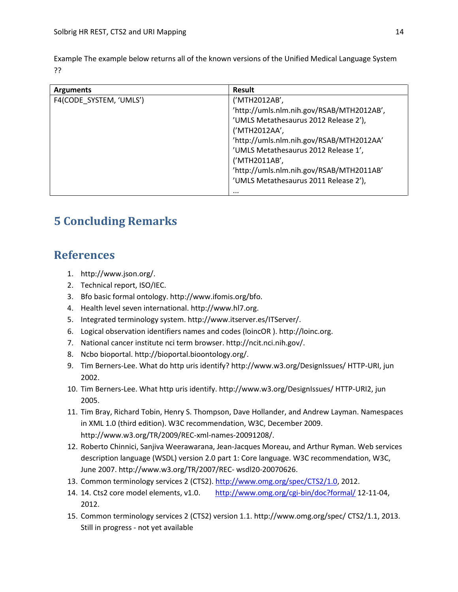Example The example below returns all of the known versions of the Unified Medical Language System ??

| <b>Arguments</b>        | <b>Result</b>                             |
|-------------------------|-------------------------------------------|
| F4(CODE SYSTEM, 'UMLS') | ('MTH2012AB',                             |
|                         | 'http://umls.nlm.nih.gov/RSAB/MTH2012AB', |
|                         | 'UMLS Metathesaurus 2012 Release 2'),     |
|                         | ('MTH2012AA',                             |
|                         | 'http://umls.nlm.nih.gov/RSAB/MTH2012AA'  |
|                         | 'UMLS Metathesaurus 2012 Release 1',      |
|                         | ('MTH2011AB',                             |
|                         | 'http://umls.nlm.nih.gov/RSAB/MTH2011AB'  |
|                         | 'UMLS Metathesaurus 2011 Release 2'),     |
|                         | $\cdots$                                  |

# **5 Concluding Remarks**

# **References**

- 1. http://www.json.org/.
- 2. Technical report, ISO/IEC.
- 3. Bfo basic formal ontology. http://www.ifomis.org/bfo.
- 4. Health level seven international. http://www.hl7.org.
- 5. Integrated terminology system. http://www.itserver.es/ITServer/.
- 6. Logical observation identifiers names and codes (loincOR ). http://loinc.org.
- 7. National cancer institute nci term browser. http://ncit.nci.nih.gov/.
- 8. Ncbo bioportal. http://bioportal.bioontology.org/.
- 9. Tim Berners-Lee. What do http uris identify? http://www.w3.org/DesignIssues/ HTTP-URI, jun 2002.
- 10. Tim Berners-Lee. What http uris identify. http://www.w3.org/DesignIssues/ HTTP-URI2, jun 2005.
- 11. Tim Bray, Richard Tobin, Henry S. Thompson, Dave Hollander, and Andrew Layman. Namespaces in XML 1.0 (third edition). W3C recommendation, W3C, December 2009. http://www.w3.org/TR/2009/REC-xml-names-20091208/.
- 12. Roberto Chinnici, Sanjiva Weerawarana, Jean-Jacques Moreau, and Arthur Ryman. Web services description language (WSDL) version 2.0 part 1: Core language. W3C recommendation, W3C, June 2007. http://www.w3.org/TR/2007/REC- wsdl20-20070626.
- 13. Common terminology services 2 (CTS2). [http://www.omg.org/spec/CTS2/1.0,](http://www.omg.org/spec/CTS2/1.0) 2012.
- 14. 14. Cts2 core model elements, v1.0. <http://www.omg.org/cgi-bin/doc?formal/> 12-11-04, 2012.
- 15. Common terminology services 2 (CTS2) version 1.1. http://www.omg.org/spec/ CTS2/1.1, 2013. Still in progress - not yet available